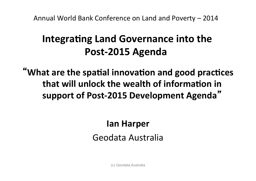Annual World Bank Conference on Land and Poverty - 2014

# Integrating Land Governance into the Post-2015 Agenda

"What are the spatial innovation and good practices that will unlock the wealth of information in support of Post-2015 Development Agenda"

# lan Harper Geodata Australia

(c) Geodata Australia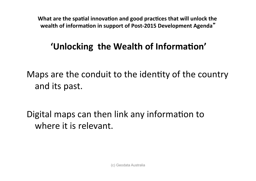#### 'Unlocking the Wealth of Information'

Maps are the conduit to the identity of the country and its past.

Digital maps can then link any information to where it is relevant.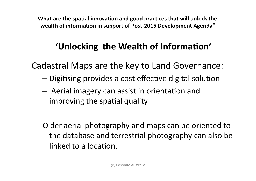## 'Unlocking the Wealth of Information'

Cadastral Maps are the key to Land Governance:

- $-$  Digitising provides a cost effective digital solution
- $-$  Aerial imagery can assist in orientation and improving the spatial quality

Older aerial photography and maps can be oriented to the database and terrestrial photography can also be linked to a location.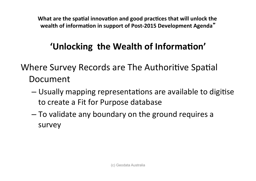## 'Unlocking the Wealth of Information'

Where Survey Records are The Authoritive Spatial Document

- Usually mapping representations are available to digitise to create a Fit for Purpose database
- To validate any boundary on the ground requires a survey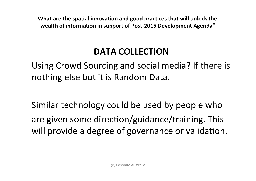#### **DATA COLLECTION**

Using Crowd Sourcing and social media? If there is nothing else but it is Random Data.

Similar technology could be used by people who are given some direction/guidance/training. This will provide a degree of governance or validation.